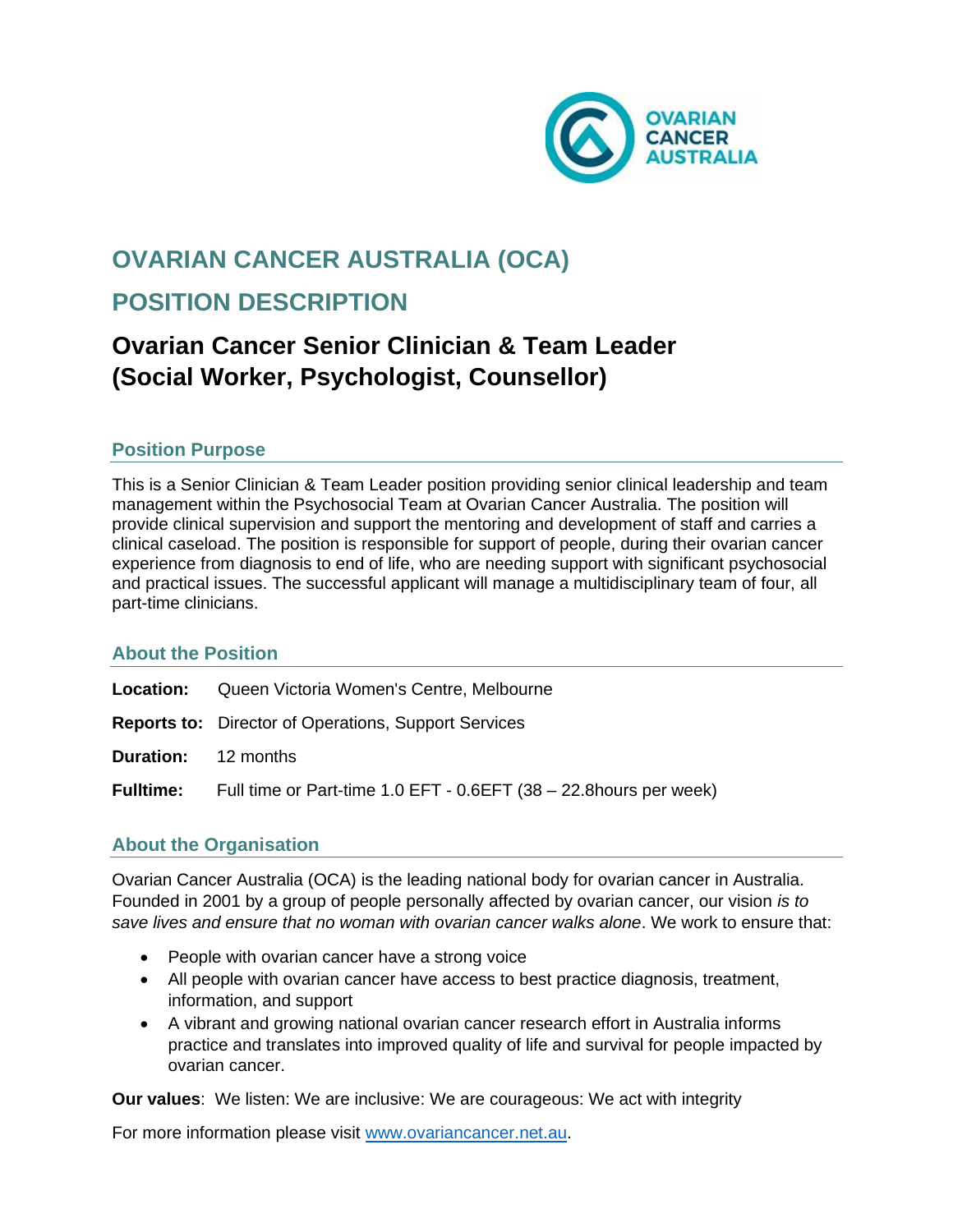

# **OVARIAN CANCER AUSTRALIA (OCA)**

# **POSITION DESCRIPTION**

# **Ovarian Cancer Senior Clinician & Team Leader (Social Worker, Psychologist, Counsellor)**

## **Position Purpose**

This is a Senior Clinician & Team Leader position providing senior clinical leadership and team management within the Psychosocial Team at Ovarian Cancer Australia. The position will provide clinical supervision and support the mentoring and development of staff and carries a clinical caseload. The position is responsible for support of people, during their ovarian cancer experience from diagnosis to end of life, who are needing support with significant psychosocial and practical issues. The successful applicant will manage a multidisciplinary team of four, all part-time clinicians.

## **About the Position**

- **Location:** Queen Victoria Women's Centre, Melbourne
- **Reports to:** Director of Operations, Support Services
- **Duration:** 12 months

**Fulltime:** Full time or Part-time 1.0 EFT - 0.6EFT (38 – 22.8hours per week)

# **About the Organisation**

Ovarian Cancer Australia (OCA) is the leading national body for ovarian cancer in Australia. Founded in 2001 by a group of people personally affected by ovarian cancer, our vision *is to save lives and ensure that no woman with ovarian cancer walks alone*. We work to ensure that:

- People with ovarian cancer have a strong voice
- All people with ovarian cancer have access to best practice diagnosis, treatment, information, and support
- A vibrant and growing national ovarian cancer research effort in Australia informs practice and translates into improved quality of life and survival for people impacted by ovarian cancer.

**Our values**: We listen: We are inclusive: We are courageous: We act with integrity

For more information please visit [www.ovariancancer.net.au.](http://www.ovariancancer.net.au/)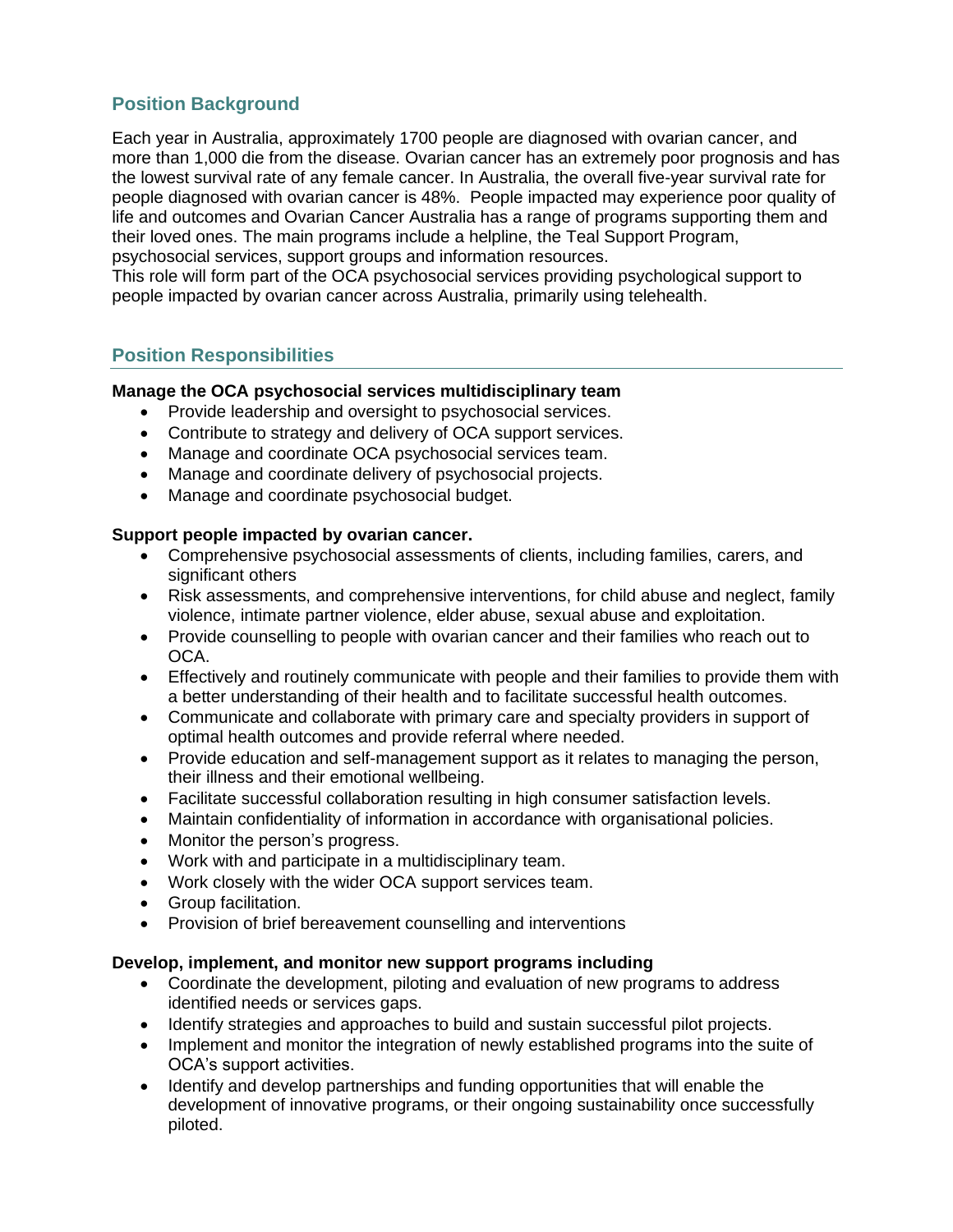# **Position Background**

Each year in Australia, approximately 1700 people are diagnosed with ovarian cancer, and more than 1,000 die from the disease. Ovarian cancer has an extremely poor prognosis and has the lowest survival rate of any female cancer. In Australia, the overall five-year survival rate for people diagnosed with ovarian cancer is 48%. People impacted may experience poor quality of life and outcomes and Ovarian Cancer Australia has a range of programs supporting them and their loved ones. The main programs include a helpline, the Teal Support Program, psychosocial services, support groups and information resources.

This role will form part of the OCA psychosocial services providing psychological support to people impacted by ovarian cancer across Australia, primarily using telehealth.

### **Position Responsibilities**

#### **Manage the OCA psychosocial services multidisciplinary team**

- Provide leadership and oversight to psychosocial services.
- Contribute to strategy and delivery of OCA support services.
- Manage and coordinate OCA psychosocial services team.
- Manage and coordinate delivery of psychosocial projects.
- Manage and coordinate psychosocial budget.

#### **Support people impacted by ovarian cancer.**

- Comprehensive psychosocial assessments of clients, including families, carers, and significant others
- Risk assessments, and comprehensive interventions, for child abuse and neglect, family violence, intimate partner violence, elder abuse, sexual abuse and exploitation.
- Provide counselling to people with ovarian cancer and their families who reach out to OCA.
- Effectively and routinely communicate with people and their families to provide them with a better understanding of their health and to facilitate successful health outcomes.
- Communicate and collaborate with primary care and specialty providers in support of optimal health outcomes and provide referral where needed.
- Provide education and self-management support as it relates to managing the person, their illness and their emotional wellbeing.
- Facilitate successful collaboration resulting in high consumer satisfaction levels.
- Maintain confidentiality of information in accordance with organisational policies.
- Monitor the person's progress.
- Work with and participate in a multidisciplinary team.
- Work closely with the wider OCA support services team.
- Group facilitation.
- Provision of brief bereavement counselling and interventions

#### **Develop, implement, and monitor new support programs including**

- Coordinate the development, piloting and evaluation of new programs to address identified needs or services gaps.
- Identify strategies and approaches to build and sustain successful pilot projects.
- Implement and monitor the integration of newly established programs into the suite of OCA's support activities.
- Identify and develop partnerships and funding opportunities that will enable the development of innovative programs, or their ongoing sustainability once successfully piloted.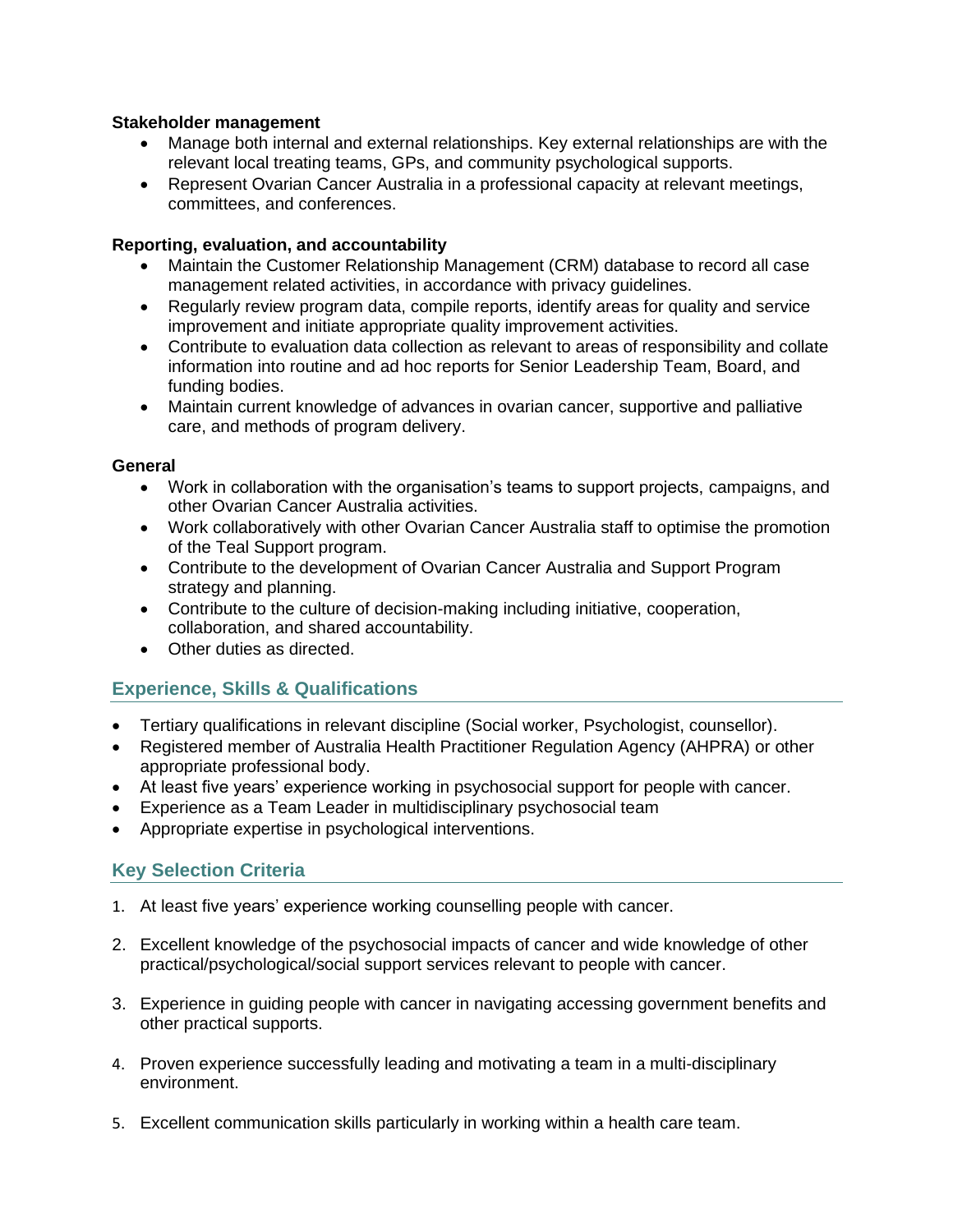### **Stakeholder management**

- Manage both internal and external relationships. Key external relationships are with the relevant local treating teams, GPs, and community psychological supports.
- Represent Ovarian Cancer Australia in a professional capacity at relevant meetings, committees, and conferences.

#### **Reporting, evaluation, and accountability**

- Maintain the Customer Relationship Management (CRM) database to record all case management related activities, in accordance with privacy guidelines.
- Regularly review program data, compile reports, identify areas for quality and service improvement and initiate appropriate quality improvement activities.
- Contribute to evaluation data collection as relevant to areas of responsibility and collate information into routine and ad hoc reports for Senior Leadership Team, Board, and funding bodies.
- Maintain current knowledge of advances in ovarian cancer, supportive and palliative care, and methods of program delivery.

#### **General**

- Work in collaboration with the organisation's teams to support projects, campaigns, and other Ovarian Cancer Australia activities.
- Work collaboratively with other Ovarian Cancer Australia staff to optimise the promotion of the Teal Support program.
- Contribute to the development of Ovarian Cancer Australia and Support Program strategy and planning.
- Contribute to the culture of decision-making including initiative, cooperation, collaboration, and shared accountability.
- Other duties as directed.

## **Experience, Skills & Qualifications**

- Tertiary qualifications in relevant discipline (Social worker, Psychologist, counsellor).
- Registered member of Australia Health Practitioner Regulation Agency (AHPRA) or other appropriate professional body.
- At least five years' experience working in psychosocial support for people with cancer.
- Experience as a Team Leader in multidisciplinary psychosocial team
- Appropriate expertise in psychological interventions.

## **Key Selection Criteria**

- 1. At least five years' experience working counselling people with cancer.
- 2. Excellent knowledge of the psychosocial impacts of cancer and wide knowledge of other practical/psychological/social support services relevant to people with cancer.
- 3. Experience in guiding people with cancer in navigating accessing government benefits and other practical supports.
- 4. Proven experience successfully leading and motivating a team in a multi-disciplinary environment.
- 5. Excellent communication skills particularly in working within a health care team.